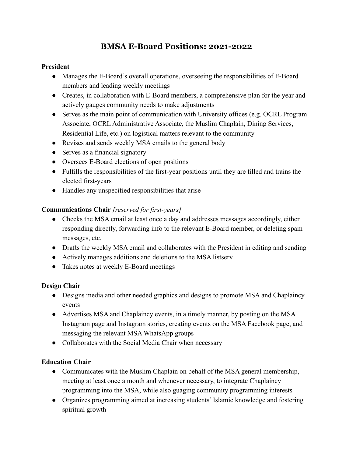# **BMSA E-Board Positions: 2021-2022**

#### **President**

- Manages the E-Board's overall operations, overseeing the responsibilities of E-Board members and leading weekly meetings
- Creates, in collaboration with E-Board members, a comprehensive plan for the year and actively gauges community needs to make adjustments
- Serves as the main point of communication with University offices (e.g. OCRL Program Associate, OCRL Administrative Associate, the Muslim Chaplain, Dining Services, Residential Life, etc.) on logistical matters relevant to the community
- Revises and sends weekly MSA emails to the general body
- Serves as a financial signatory
- Oversees E-Board elections of open positions
- Fulfills the responsibilities of the first-year positions until they are filled and trains the elected first-years
- Handles any unspecified responsibilities that arise

## **Communications Chair** *[reserved for first-years]*

- Checks the MSA email at least once a day and addresses messages accordingly, either responding directly, forwarding info to the relevant E-Board member, or deleting spam messages, etc.
- Drafts the weekly MSA email and collaborates with the President in editing and sending
- Actively manages additions and deletions to the MSA listserv
- Takes notes at weekly E-Board meetings

#### **Design Chair**

- Designs media and other needed graphics and designs to promote MSA and Chaplaincy events
- Advertises MSA and Chaplaincy events, in a timely manner, by posting on the MSA Instagram page and Instagram stories, creating events on the MSA Facebook page, and messaging the relevant MSA WhatsApp groups
- Collaborates with the Social Media Chair when necessary

#### **Education Chair**

- Communicates with the Muslim Chaplain on behalf of the MSA general membership, meeting at least once a month and whenever necessary, to integrate Chaplaincy programming into the MSA, while also guaging community programming interests
- Organizes programming aimed at increasing students' Islamic knowledge and fostering spiritual growth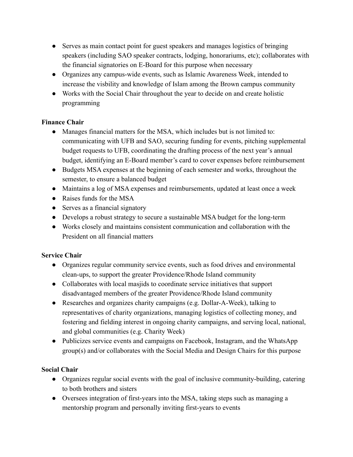- Serves as main contact point for guest speakers and manages logistics of bringing speakers (including SAO speaker contracts, lodging, honorariums, etc); collaborates with the financial signatories on E-Board for this purpose when necessary
- Organizes any campus-wide events, such as Islamic Awareness Week, intended to increase the visbility and knowledge of Islam among the Brown campus community
- Works with the Social Chair throughout the year to decide on and create holistic programming

## **Finance Chair**

- Manages financial matters for the MSA, which includes but is not limited to: communicating with UFB and SAO, securing funding for events, pitching supplemental budget requests to UFB, coordinating the drafting process of the next year's annual budget, identifying an E-Board member's card to cover expenses before reimbursement
- Budgets MSA expenses at the beginning of each semester and works, throughout the semester, to ensure a balanced budget
- Maintains a log of MSA expenses and reimbursements, updated at least once a week
- Raises funds for the MSA
- Serves as a financial signatory
- Develops a robust strategy to secure a sustainable MSA budget for the long-term
- Works closely and maintains consistent communication and collaboration with the President on all financial matters

# **Service Chair**

- Organizes regular community service events, such as food drives and environmental clean-ups, to support the greater Providence/Rhode Island community
- Collaborates with local masjids to coordinate service initiatives that support disadvantaged members of the greater Providence/Rhode Island community
- Researches and organizes charity campaigns (e.g. Dollar-A-Week), talking to representatives of charity organizations, managing logistics of collecting money, and fostering and fielding interest in ongoing charity campaigns, and serving local, national, and global communities (e.g. Charity Week)
- Publicizes service events and campaigns on Facebook, Instagram, and the WhatsApp group(s) and/or collaborates with the Social Media and Design Chairs for this purpose

# **Social Chair**

- Organizes regular social events with the goal of inclusive community-building, catering to both brothers and sisters
- Oversees integration of first-years into the MSA, taking steps such as managing a mentorship program and personally inviting first-years to events